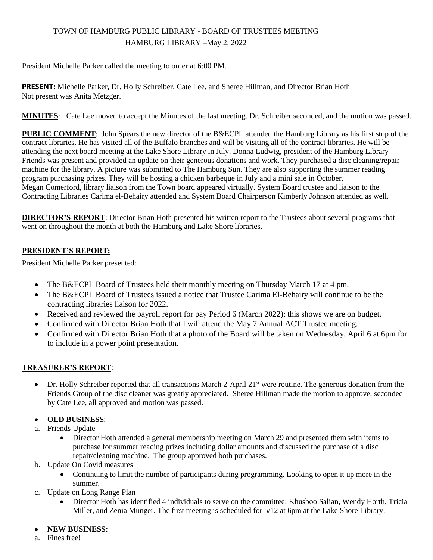# TOWN OF HAMBURG PUBLIC LIBRARY - BOARD OF TRUSTEES MEETING HAMBURG LIBRARY –May 2, 2022

President Michelle Parker called the meeting to order at 6:00 PM.

**PRESENT:** Michelle Parker, Dr. Holly Schreiber, Cate Lee, and Sheree Hillman, and Director Brian Hoth Not present was Anita Metzger.

**MINUTES**: Cate Lee moved to accept the Minutes of the last meeting. Dr. Schreiber seconded, and the motion was passed.

**PUBLIC COMMENT**: John Spears the new director of the B&ECPL attended the Hamburg Library as his first stop of the contract libraries. He has visited all of the Buffalo branches and will be visiting all of the contract libraries. He will be attending the next board meeting at the Lake Shore Library in July. Donna Ludwig, president of the Hamburg Library Friends was present and provided an update on their generous donations and work. They purchased a disc cleaning/repair machine for the library. A picture was submitted to The Hamburg Sun. They are also supporting the summer reading program purchasing prizes. They will be hosting a chicken barbeque in July and a mini sale in October. Megan Comerford, library liaison from the Town board appeared virtually. System Board trustee and liaison to the Contracting Libraries Carima el-Behairy attended and System Board Chairperson Kimberly Johnson attended as well.

**DIRECTOR'S REPORT:** Director Brian Hoth presented his written report to the Trustees about several programs that went on throughout the month at both the Hamburg and Lake Shore libraries.

### **PRESIDENT'S REPORT:**

President Michelle Parker presented:

- The B&ECPL Board of Trustees held their monthly meeting on Thursday March 17 at 4 pm.
- The B&ECPL Board of Trustees issued a notice that Trustee Carima El-Behairy will continue to be the contracting libraries liaison for 2022.
- Received and reviewed the payroll report for pay Period 6 (March 2022); this shows we are on budget.
- Confirmed with Director Brian Hoth that I will attend the May 7 Annual ACT Trustee meeting.
- Confirmed with Director Brian Hoth that a photo of the Board will be taken on Wednesday, April 6 at 6pm for to include in a power point presentation.

### **TREASURER'S REPORT**:

• Dr. Holly Schreiber reported that all transactions March 2-April 21<sup>st</sup> were routine. The generous donation from the Friends Group of the disc cleaner was greatly appreciated. Sheree Hillman made the motion to approve, seconded by Cate Lee, all approved and motion was passed.

#### **OLD BUSINESS**:

- a. Friends Update
	- Director Hoth attended a general membership meeting on March 29 and presented them with items to purchase for summer reading prizes including dollar amounts and discussed the purchase of a disc repair/cleaning machine. The group approved both purchases.
- b. Update On Covid measures
	- Continuing to limit the number of participants during programming. Looking to open it up more in the summer.
- c. Update on Long Range Plan
	- Director Hoth has identified 4 individuals to serve on the committee: Khusboo Salian, Wendy Horth, Tricia Miller, and Zenia Munger. The first meeting is scheduled for 5/12 at 6pm at the Lake Shore Library.

#### **NEW BUSINESS:**

a. Fines free!